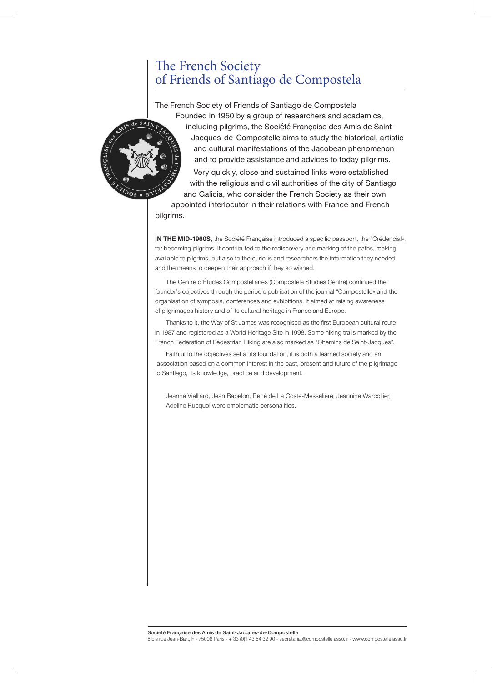## The French Society of Friends of Santiago de Compostela

The French Society of Friends of Santiago de Compostela Founded in 1950 by a group of researchers and academics, including pilgrims, the Société Française des Amis de Saint-Jacques-de-Compostelle aims to study the historical, artistic and cultural manifestations of the Jacobean phenomenon and to provide assistance and advices to today pilgrims. Very quickly, close and sustained links were established with the religious and civil authorities of the city of Santiago and Galicia, who consider the French Society as their own appointed interlocutor in their relations with France and French

pilgrims.

**IN THE MID-1960S,** the Société Française introduced a specific passport, the "Crédencial», for becoming pilgrims. It contributed to the rediscovery and marking of the paths, making available to pilgrims, but also to the curious and researchers the information they needed and the means to deepen their approach if they so wished.

The Centre d'Études Compostellanes (Compostela Studies Centre) continued the founder's objectives through the periodic publication of the journal "Compostelle» and the organisation of symposia, conferences and exhibitions. It aimed at raising awareness of pilgrimages history and of its cultural heritage in France and Europe.

Thanks to it, the Way of St James was recognised as the first European cultural route in 1987 and registered as a World Heritage Site in 1998. Some hiking trails marked by the French Federation of Pedestrian Hiking are also marked as "Chemins de Saint-Jacques".

Faithful to the objectives set at its foundation, it is both a learned society and an association based on a common interest in the past, present and future of the pilgrimage to Santiago, its knowledge, practice and development.

Jeanne Vielliard, Jean Babelon, René de La Coste-Messelière, Jeannine Warcollier, Adeline Rucquoi were emblematic personalities.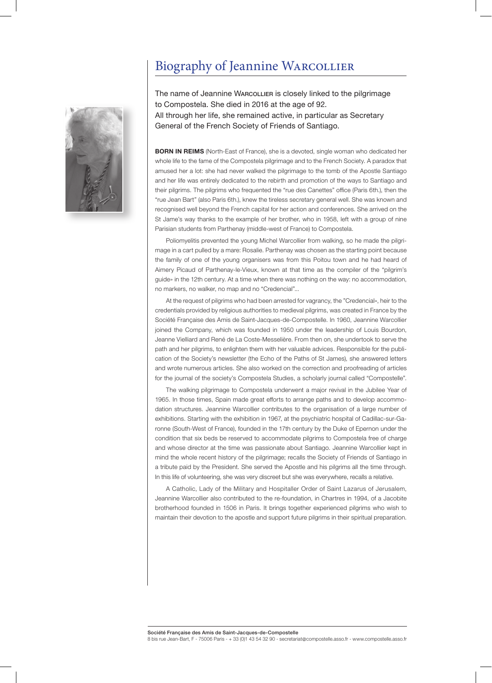# Biography of Jeannine Warcollier



The name of Jeannine WARCOLLIER is closely linked to the pilgrimage to Compostela. She died in 2016 at the age of 92. All through her life, she remained active, in particular as Secretary General of the French Society of Friends of Santiago.

**BORN IN REIMS** (North-East of France), she is a devoted, single woman who dedicated her whole life to the fame of the Compostela pilgrimage and to the French Society. A paradox that amused her a lot: she had never walked the pilgrimage to the tomb of the Apostle Santiago and her life was entirely dedicated to the rebirth and promotion of the ways to Santiago and their pilgrims. The pilgrims who frequented the "rue des Canettes" office (Paris 6th.), then the "rue Jean Bart" (also Paris 6th.), knew the tireless secretary general well. She was known and recognised well beyond the French capital for her action and conferences. She arrived on the St Jame's way thanks to the example of her brother, who in 1958, left with a group of nine Parisian students from Parthenay (middle-west of France) to Compostela.

Poliomyelitis prevented the young Michel Warcollier from walking, so he made the pilgrimage in a cart pulled by a mare: Rosalie. Parthenay was chosen as the starting point because the family of one of the young organisers was from this Poitou town and he had heard of Aimery Picaud of Parthenay-le-Vieux, known at that time as the compiler of the "pilgrim's guide» in the 12th century. At a time when there was nothing on the way: no accommodation, no markers, no walker, no map and no "Credencial"...

At the request of pilgrims who had been arrested for vagrancy, the "Credencial», heir to the credentials provided by religious authorities to medieval pilgrims, was created in France by the Société Française des Amis de Saint-Jacques-de-Compostelle. In 1960, Jeannine Warcollier joined the Company, which was founded in 1950 under the leadership of Louis Bourdon, Jeanne Vielliard and René de La Coste-Messelière. From then on, she undertook to serve the path and her pilgrims, to enlighten them with her valuable advices. Responsible for the publication of the Society's newsletter (the Echo of the Paths of St James), she answered letters and wrote numerous articles. She also worked on the correction and proofreading of articles for the journal of the society's Compostela Studies, a scholarly journal called "Compostelle".

The walking pilgrimage to Compostela underwent a major revival in the Jubilee Year of 1965. In those times, Spain made great efforts to arrange paths and to develop accommodation structures. Jeannine Warcollier contributes to the organisation of a large number of exhibitions. Starting with the exhibition in 1967, at the psychiatric hospital of Cadillac-sur-Garonne (South-West of France), founded in the 17th century by the Duke of Epernon under the condition that six beds be reserved to accommodate pilgrims to Compostela free of charge and whose director at the time was passionate about Santiago. Jeannine Warcollier kept in mind the whole recent history of the pilgrimage; recalls the Society of Friends of Santiago in a tribute paid by the President. She served the Apostle and his pilgrims all the time through. In this life of volunteering, she was very discreet but she was everywhere, recalls a relative.

A Catholic, Lady of the Military and Hospitaller Order of Saint Lazarus of Jerusalem, Jeannine Warcollier also contributed to the re-foundation, in Chartres in 1994, of a Jacobite brotherhood founded in 1506 in Paris. It brings together experienced pilgrims who wish to maintain their devotion to the apostle and support future pilgrims in their spiritual preparation.

Société Française des Amis de Saint-Jacques-de-Compostelle

8 bis rue Jean-Bart, F - 75006 Paris - + 33 (0)1 43 54 32 90 - secretariat@compostelle.asso.fr - www.compostelle.asso.f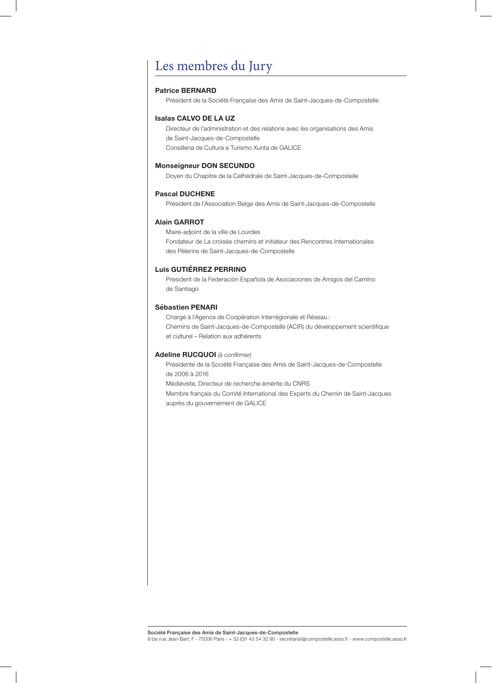# Les membres du Jury

#### **Patrice BERNARD**

Président de la Société Française des Amis de Saint-Jacques-de-Compostelle

### **Isalas CALVO DE LA UZ**

Directeur de l'administration et des relations avec les organisations des Amis de Saint-Jacques-de-Compostelle Consilleria de Cultura e Turismo Xunta de GALICE

### **Monseigneur DON SECUNDO**

Doyen du Chapitre de la Cathédrale de Saint-Jacques-de-Compostelle

#### **Pascal DUCHENE**

Président de l'Association Belge des Amis de Saint-Jacques-de-Compostelle

#### **Alain GARROT**

Maire-adjoint de la ville de Lourdes Fondateur de La croisée chemins et initiateur des Rencontres Internationales des Pèlerins de Saint-Jacques-de-Compostelle

## **Luis GUTIÉRREZ PERRINO**

President de la Federación Española de Asociaciones de Amigos del Camino de Santiago

#### **Sébastien PENARI**

Chargé à l'Agence de Coopération Interrégionale et Réseau: Chemins de Saint-Jacques-de-Compostelle (ACIR) du développement scientifique et culturel – Relation aux adhérents

#### **Adeline RUCQUOI** *(à confirmer)*

Présidente de la Société Française des Amis de Saint-Jacques-de-Compostelle de 2006 à 2016

Médiéviste, Directeur de recherche émérite du CNRS

Membre français du Comité International des Experts du Chemin de Saint-Jacques auprès du gouvernement de GALICE